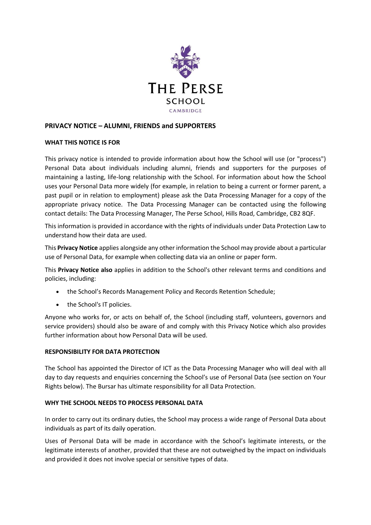

# **PRIVACY NOTICE – ALUMNI, FRIENDS and SUPPORTERS**

#### **WHAT THIS NOTICE IS FOR**

This privacy notice is intended to provide information about how the School will use (or "process") Personal Data about individuals including alumni, friends and supporters for the purposes of maintaining a lasting, life-long relationship with the School. For information about how the School uses your Personal Data more widely (for example, in relation to being a current or former parent, a past pupil or in relation to employment) please ask the Data Processing Manager for a copy of the appropriate privacy notice. The Data Processing Manager can be contacted using the following contact details: The Data Processing Manager, The Perse School, Hills Road, Cambridge, CB2 8QF.

This information is provided in accordance with the rights of individuals under Data Protection Law to understand how their data are used.

This **Privacy Notice** applies alongside any other information the School may provide about a particular use of Personal Data, for example when collecting data via an online or paper form.

This **Privacy Notice also** applies in addition to the School's other relevant terms and conditions and policies, including:

- the School's Records Management Policy and Records Retention Schedule;
- the School's IT policies.

Anyone who works for, or acts on behalf of, the School (including staff, volunteers, governors and service providers) should also be aware of and comply with this Privacy Notice which also provides further information about how Personal Data will be used.

#### **RESPONSIBILITY FOR DATA PROTECTION**

The School has appointed the Director of ICT as the Data Processing Manager who will deal with all day to day requests and enquiries concerning the School's use of Personal Data (see section on Your Rights below). The Bursar has ultimate responsibility for all Data Protection.

#### **WHY THE SCHOOL NEEDS TO PROCESS PERSONAL DATA**

In order to carry out its ordinary duties, the School may process a wide range of Personal Data about individuals as part of its daily operation.

Uses of Personal Data will be made in accordance with the School's legitimate interests, or the legitimate interests of another, provided that these are not outweighed by the impact on individuals and provided it does not involve special or sensitive types of data.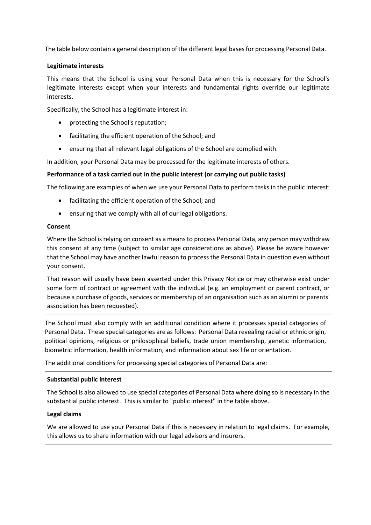The table below contain a general description of the different legal bases for processing Personal Data.

# **Legitimate interests**

This means that the School is using your Personal Data when this is necessary for the School's legitimate interests except when your interests and fundamental rights override our legitimate interests.

Specifically, the School has a legitimate interest in:

- protecting the School's reputation;
- facilitating the efficient operation of the School; and
- ensuring that all relevant legal obligations of the School are complied with.

In addition, your Personal Data may be processed for the legitimate interests of others.

# **Performance of a task carried out in the public interest (or carrying out public tasks)**

The following are examples of when we use your Personal Data to perform tasks in the public interest:

- facilitating the efficient operation of the School; and
- ensuring that we comply with all of our legal obligations.

# **Consent**

Where the School is relying on consent as a means to process Personal Data, any person may withdraw this consent at any time (subject to similar age considerations as above). Please be aware however that the School may have another lawful reason to process the Personal Data in question even without your consent.

That reason will usually have been asserted under this Privacy Notice or may otherwise exist under some form of contract or agreement with the individual (e.g. an employment or parent contract, or because a purchase of goods, services or membership of an organisation such as an alumni or parents' association has been requested).

The School must also comply with an additional condition where it processes special categories of Personal Data. These special categories are as follows: Personal Data revealing racial or ethnic origin, political opinions, religious or philosophical beliefs, trade union membership, genetic information, biometric information, health information, and information about sex life or orientation.

The additional conditions for processing special categories of Personal Data are:

# **Substantial public interest**

The School is also allowed to use special categories of Personal Data where doing so is necessary in the substantial public interest. This is similar to "public interest" in the table above.

# **Legal claims**

We are allowed to use your Personal Data if this is necessary in relation to legal claims. For example, this allows us to share information with our legal advisors and insurers.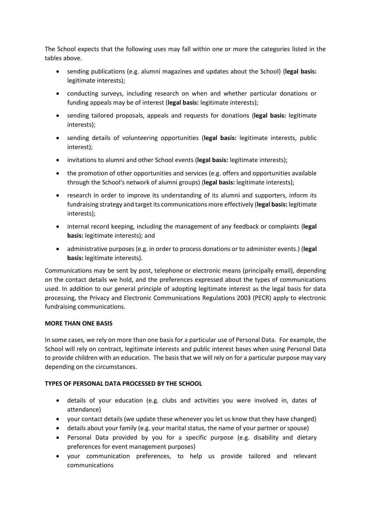The School expects that the following uses may fall within one or more the categories listed in the tables above.

- sending publications (e.g. alumni magazines and updates about the School) (**legal basis:** legitimate interests);
- conducting surveys, including research on when and whether particular donations or funding appeals may be of interest (**legal basis:** legitimate interests);
- sending tailored proposals, appeals and requests for donations (**legal basis:** legitimate interests);
- sending details of volunteering opportunities (**legal basis:** legitimate interests, public interest);
- invitations to alumni and other School events (**legal basis:** legitimate interests);
- the promotion of other opportunities and services (e.g. offers and opportunities available through the School's network of alumni groups) (**legal basis:** legitimate interests);
- research in order to improve its understanding of its alumni and supporters, inform its fundraising strategy and target its communications more effectively (**legal basis:** legitimate interests);
- internal record keeping, including the management of any feedback or complaints (**legal basis:** legitimate interests); and
- administrative purposes (e.g. in order to process donations or to administer events.) (**legal basis:** legitimate interests).

Communications may be sent by post, telephone or electronic means (principally email), depending on the contact details we hold, and the preferences expressed about the types of communications used. In addition to our general principle of adopting legitimate interest as the legal basis for data processing, the Privacy and Electronic Communications Regulations 2003 (PECR) apply to electronic fundraising communications.

#### **MORE THAN ONE BASIS**

In some cases, we rely on more than one basis for a particular use of Personal Data. For example, the School will rely on contract, legitimate interests and public interest bases when using Personal Data to provide children with an education. The basis that we will rely on for a particular purpose may vary depending on the circumstances.

#### **TYPES OF PERSONAL DATA PROCESSED BY THE SCHOOL**

- details of your education (e.g. clubs and activities you were involved in, dates of attendance)
- your contact details (we update these whenever you let us know that they have changed)
- details about your family (e.g. your marital status, the name of your partner or spouse)
- Personal Data provided by you for a specific purpose (e.g. disability and dietary preferences for event management purposes)
- your communication preferences, to help us provide tailored and relevant communications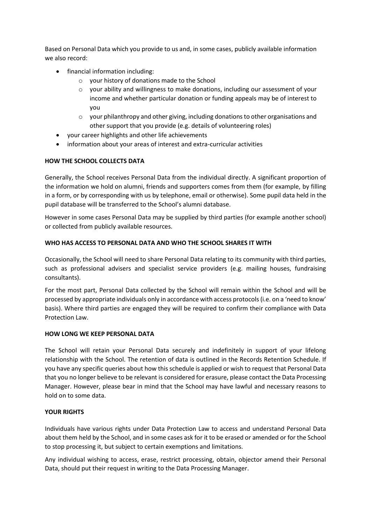Based on Personal Data which you provide to us and, in some cases, publicly available information we also record:

- financial information including:
	- o your history of donations made to the School
	- o your ability and willingness to make donations, including our assessment of your income and whether particular donation or funding appeals may be of interest to you
	- $\circ$  your philanthropy and other giving, including donations to other organisations and other support that you provide (e.g. details of volunteering roles)
- your career highlights and other life achievements
- information about your areas of interest and extra-curricular activities

### **HOW THE SCHOOL COLLECTS DATA**

Generally, the School receives Personal Data from the individual directly. A significant proportion of the information we hold on alumni, friends and supporters comes from them (for example, by filling in a form, or by corresponding with us by telephone, email or otherwise). Some pupil data held in the pupil database will be transferred to the School's alumni database.

However in some cases Personal Data may be supplied by third parties (for example another school) or collected from publicly available resources.

#### **WHO HAS ACCESS TO PERSONAL DATA AND WHO THE SCHOOL SHARES IT WITH**

Occasionally, the School will need to share Personal Data relating to its community with third parties, such as professional advisers and specialist service providers (e.g. mailing houses, fundraising consultants).

For the most part, Personal Data collected by the School will remain within the School and will be processed by appropriate individuals only in accordance with access protocols (i.e. on a 'need to know' basis). Where third parties are engaged they will be required to confirm their compliance with Data Protection Law.

#### **HOW LONG WE KEEP PERSONAL DATA**

The School will retain your Personal Data securely and indefinitely in support of your lifelong relationship with the School. The retention of data is outlined in the Records Retention Schedule. If you have any specific queries about how this schedule is applied or wish to request that Personal Data that you no longer believe to be relevant is considered for erasure, please contact the Data Processing Manager. However, please bear in mind that the School may have lawful and necessary reasons to hold on to some data.

#### **YOUR RIGHTS**

Individuals have various rights under Data Protection Law to access and understand Personal Data about them held by the School, and in some cases ask for it to be erased or amended or for the School to stop processing it, but subject to certain exemptions and limitations.

Any individual wishing to access, erase, restrict processing, obtain, objector amend their Personal Data, should put their request in writing to the Data Processing Manager.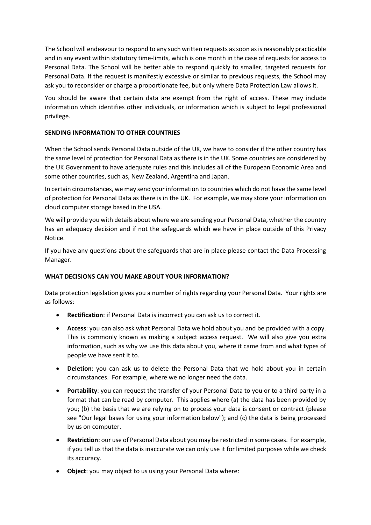The School will endeavour to respond to any such written requests as soon as is reasonably practicable and in any event within statutory time-limits, which is one month in the case of requests for access to Personal Data. The School will be better able to respond quickly to smaller, targeted requests for Personal Data. If the request is manifestly excessive or similar to previous requests, the School may ask you to reconsider or charge a proportionate fee, but only where Data Protection Law allows it.

You should be aware that certain data are exempt from the right of access. These may include information which identifies other individuals, or information which is subject to legal professional privilege.

# **SENDING INFORMATION TO OTHER COUNTRIES**

When the School sends Personal Data outside of the UK, we have to consider if the other country has the same level of protection for Personal Data as there is in the UK. Some countries are considered by the UK Government to have adequate rules and this includes all of the European Economic Area and some other countries, such as, New Zealand, Argentina and Japan.

In certain circumstances, we may send your information to countries which do not have the same level of protection for Personal Data as there is in the UK. For example, we may store your information on cloud computer storage based in the USA.

We will provide you with details about where we are sending your Personal Data, whether the country has an adequacy decision and if not the safeguards which we have in place outside of this Privacy Notice.

If you have any questions about the safeguards that are in place please contact the Data Processing Manager.

# **WHAT DECISIONS CAN YOU MAKE ABOUT YOUR INFORMATION?**

Data protection legislation gives you a number of rights regarding your Personal Data. Your rights are as follows:

- **Rectification**: if Personal Data is incorrect you can ask us to correct it.
- **Access**: you can also ask what Personal Data we hold about you and be provided with a copy. This is commonly known as making a subject access request. We will also give you extra information, such as why we use this data about you, where it came from and what types of people we have sent it to.
- **Deletion**: you can ask us to delete the Personal Data that we hold about you in certain circumstances. For example, where we no longer need the data.
- **Portability**: you can request the transfer of your Personal Data to you or to a third party in a format that can be read by computer. This applies where (a) the data has been provided by you; (b) the basis that we are relying on to process your data is consent or contract (please see "Our legal bases for using your information below"); and (c) the data is being processed by us on computer.
- **Restriction**: our use of Personal Data about you may be restricted in some cases. For example, if you tell us that the data is inaccurate we can only use it for limited purposes while we check its accuracy.
- **Object**: you may object to us using your Personal Data where: